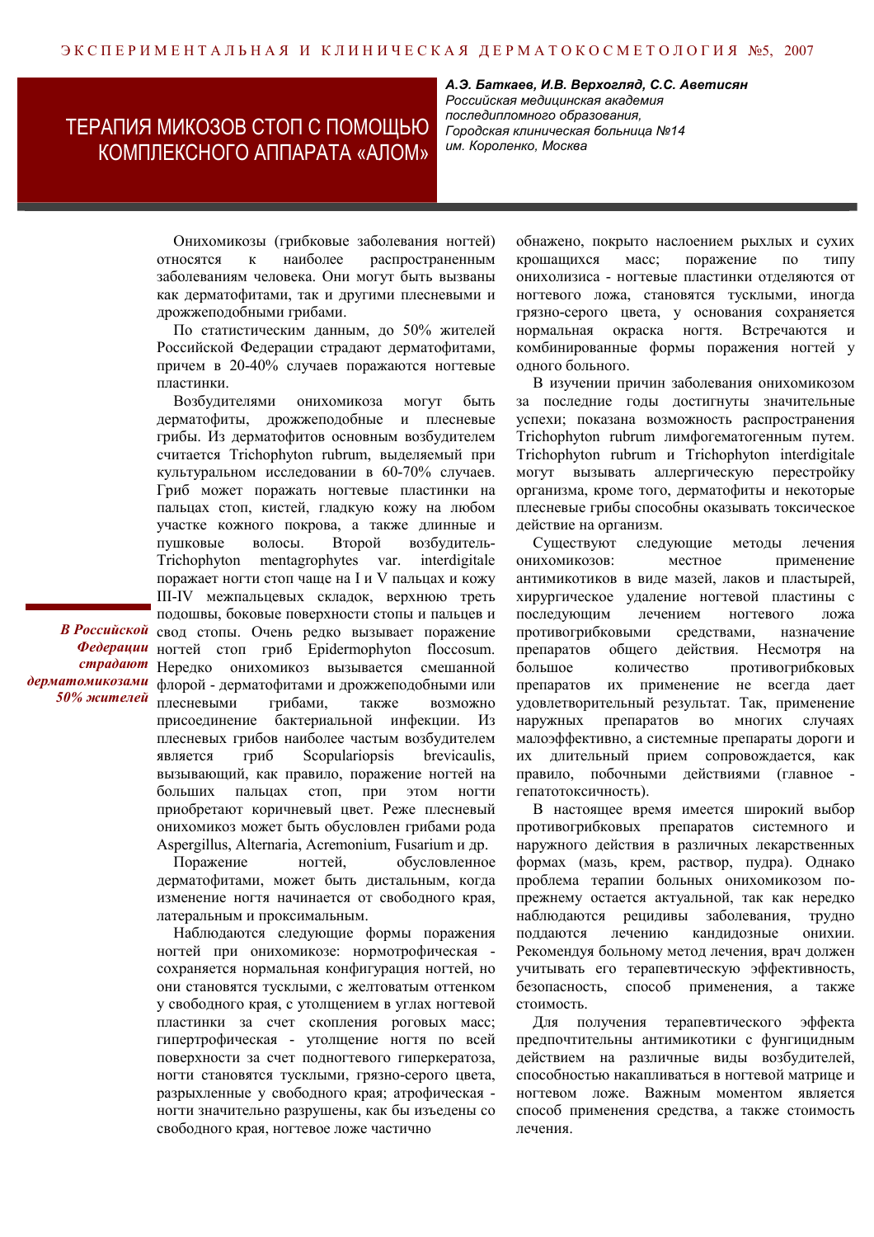## ТЕРАПИЯ МИКОЗОВ СТОП С ПОМОЩЬЮ КОМПЛЕКСНОГО АППАРАТА «АЛОМ»

А.Э. Баткаев, И.В. Верхогляд, С.С. Аветисян Российская медицинская академия последипломного образования, Городская клиническая больница №14 им. Короленко, Москва

Онихомикозы (грибковые заболевания ногтей) наиболее распространенным **ОТНОСЯТСЯ**  $\mathbf{K}$ заболеваниям человека. Они могут быть вызваны как дерматофитами, так и другими плесневыми и дрожжеподобными грибами.

По статистическим данным, до 50% жителей Российской Федерации страдают дерматофитами, причем в 20-40% случаев поражаются ногтевые пластинки.

Возбудителями онихомикоза могут быть дерматофиты, дрожжеподобные и плесневые грибы. Из дерматофитов основным возбудителем считается Trichophyton rubrum, выделяемый при культуральном исследовании в 60-70% случаев. Гриб может поражать ногтевые пластинки на пальцах стоп, кистей, глалкую кожу на любом участке кожного покрова, а также длинные и пушковые волосы. Второй возбудитель-Trichophyton mentagrophytes var. interdigitale поражает ногти стоп чаще на I и V пальцах и кожу III-IV межпальцевых складок, верхнюю треть подошвы, боковые поверхности стопы и пальцев и В Российской свод стопы. Очень редко вызывает поражение Федерации ногтей стоп гриб Epidermophyton floccosum. страдают Нередко онихомикоз вызывается смешанной дерматомикозами флорой - дерматофитами и дрожжеподобными или 50% жителей плесневыми **BO3MOXHO** грибами. также присоединение бактериальной инфекции. Из плесневых грибов наиболее частым возбудителем гриб Scopulariopsis brevicaulis, является вызывающий, как правило, поражение ногтей на больших пальцах стоп, при этом ногти приобретают коричневый цвет. Реже плесневый онихомикоз может быть обусловлен грибами рода Aspergillus, Alternaria, Acremonium, Fusarium и др.

> Поражение ногтей обусловленное дерматофитами, может быть дистальным, когда изменение ногтя начинается от свободного края, латеральным и проксимальным.

> Наблюдаются следующие формы поражения ногтей при онихомикозе: нормотрофическая сохраняется нормальная конфигурация ногтей, но они становятся тусклыми, с желтоватым оттенком у свободного края, с утолщением в углах ногтевой пластинки за счет скопления роговых масс; гипертрофическая - утолщение ногтя по всей поверхности за счет подногтевого гиперкератоза, ногти становятся тусклыми, грязно-серого цвета, разрыхленные у свободного края; атрофическая ногти значительно разрушены, как бы изъедены со свободного края, ногтевое ложе частично

обнажено, покрыто наслоением рыхлых и сухих крошащихся поражение Macc:  $\overline{10}$ типу онихолизиса - ногтевые пластинки отделяются от ногтевого ложа, становятся тусклыми, иногда грязно-серого цвета, у основания сохраняется нормальная окраска ногтя. Встречаются  $\overline{u}$ комбинированные формы поражения ногтей у одного больного.

В изучении причин заболевания онихомикозом за последние годы достигнуты значительные успехи; показана возможность распространения Trichophyton rubrum лимфогематогенным путем. Trichophyton rubrum u Trichophyton interdigitale могут вызывать аллергическую перестройку организма, кроме того, дерматофиты и некоторые плесневые грибы способны оказывать токсическое действие на организм.

Существуют следующие метолы лечения ОНИХОМИКОЗОВ: местное применение антимикотиков в виде мазей, лаков и пластырей, хирургическое удаление ногтевой пластины с последующим лечением ногтевого пожа противогрибковыми средствами, назначение препаратов общего действия. Несмотря на большое количество противогрибковых препаратов их применение не всегда дает удовлетворительный результат. Так, применение наружных препаратов BO МНОГИХ случаях малоэффективно, а системные препараты дороги и их длительный прием сопровождается, как правило, побочными действиями (главное гепатотоксичность).

В настоящее время имеется широкий выбор противогрибковых препаратов системного и наружного действия в различных лекарственных формах (мазь, крем, раствор, пудра). Однако проблема терапии больных онихомикозом попрежнему остается актуальной, так как нередко наблюдаются рецидивы заболевания, трудно поддаются лечению кандидозные онихии. Рекомендуя больному метод лечения, врач должен учитывать его терапевтическую эффективность, безопасность, способ применения, а также стоимость.

Для получения терапевтического эффекта предпочтительны антимикотики с фунгицидным действием на различные виды возбудителей, способностью накапливаться в ногтевой матрице и ногтевом ложе. Важным моментом является способ применения средства, а также стоимость лечения.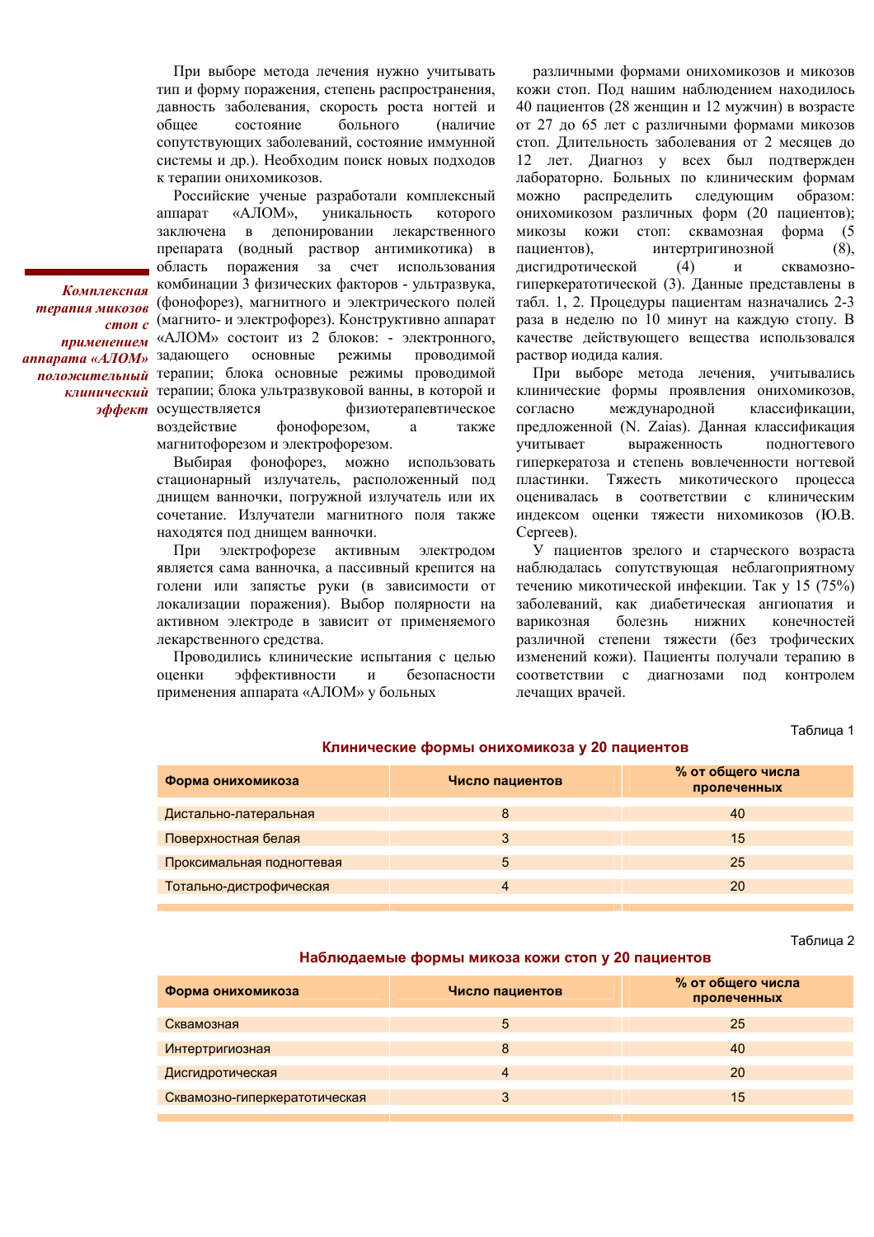При выборе метода лечения нужно учитывать тип и форму поражения, степень распространения, давность заболевания, скорость роста ногтей и обшее состояние больного (наличие сопутствующих заболеваний, состояние иммунной системы и др.). Необходим поиск новых подходов к терапии онихомикозов.

Российские ученые разработали комплексный аппарат «АЛОМ». уникальность КОТОРОГО заключена в депонировании лекарственного препарата (водный раствор антимикотика) в область поражения за счет использования комбинации 3 физических факторов - ультразвука, терапия микозов (фонофорез), магнитного и электрического полей стоп с (магнито- и электрофорез). Конструктивно аппарат применением «АЛОМ» состоит из 2 блоков: - электронного, основные режимы проводимой положительный терапии; блока основные режимы проводимой клинический терапии; блока ультразвуковой ванны, в которой и эффект осуществляется физиотерапевтическое воздействие фонофорезом, a также магнитофорезом и электрофорезом.

> Выбирая фонофорез, можно использовать стационарный излучатель, расположенный под днищем ванночки, погружной излучатель или их сочетание. Излучатели магнитного поля также находятся под днищем ванночки.

> При электрофорезе активным электродом является сама ванночка, а пассивный крепится на голени или запястье руки (в зависимости от локализации поражения). Выбор полярности на активном электроде в зависит от применяемого лекарственного средства.

> Проводились клинические испытания с целью опенки эффективности безопасности  $\boldsymbol{\mathrm{M}}$ применения аппарата «АЛОМ» у больных

различными формами онихомикозов и микозов кожи стоп. Под нашим наблюдением находилось 40 пациентов (28 женщин и 12 мужчин) в возрасте от 27 до 65 лет с различными формами микозов стоп. Длительность заболевания от 2 месяцев до 12 лет. Диагноз у всех был подтвержден лабораторно. Больных по клиническим формам можно распределить следующим образом: онихомикозом различных форм (20 пациентов); микозы кожи стоп: сквамозная форма (5 пациентов). интертригинозной  $(8)$ . дисгидротической  $(4)$  $\overline{M}$ сквамозногиперкератотической (3). Данные представлены в табл. 1, 2. Процедуры пациентам назначались 2-3 раза в неделю по 10 минут на каждую стопу. В качестве действующего вещества использовался раствор иодида калия.

При выборе метода лечения, учитывались клинические формы проявления онихомикозов, международной классификации. согласно предложенной (N. Zaias). Данная классификация учитывает выраженность полногтевого гиперкератоза и степень вовлеченности ногтевой пластинки. Тяжесть микотического процесса оценивалась в соответствии с клиническим индексом оценки тяжести нихомикозов (Ю.В. Сергеев).

У пациентов зрелого и старческого возраста наблюдалась сопутствующая неблагоприятному течению микотической инфекции. Так у 15 (75%) заболеваний, как диабетическая ангиопатия и варикозная болезнь **НИЖНИХ** конечностей различной степени тяжести (без трофических изменений кожи). Пациенты получали терапию в соответствии с диагнозами под контролем лечащих врачей.

Таблица 1

| Форма онихомикоза         | Число пациентов | % от общего числа<br>пролеченных |
|---------------------------|-----------------|----------------------------------|
| Дистально-латеральная     | 8               | 40                               |
| Поверхностная белая       | 3               | 15                               |
| Проксимальная подногтевая | 5               | 25                               |
| Тотально-дистрофическая   | 4               | 20                               |
|                           |                 |                                  |

Клинические формы онихомикоза у 20 пациентов

Таблица 2

## Наблюдаемые формы микоза кожи стоп у 20 пациентов

| Форма онихомикоза             | Число пациентов | % от общего числа<br>пролеченных |
|-------------------------------|-----------------|----------------------------------|
| Сквамозная                    | 5               | 25                               |
| Интертригиозная               | 8               | 40                               |
| Дисгидротическая              |                 | 20                               |
| Сквамозно-гиперкератотическая | 3               | 15                               |
|                               |                 |                                  |

Комплексная аппарата «АЛОМ» задающего